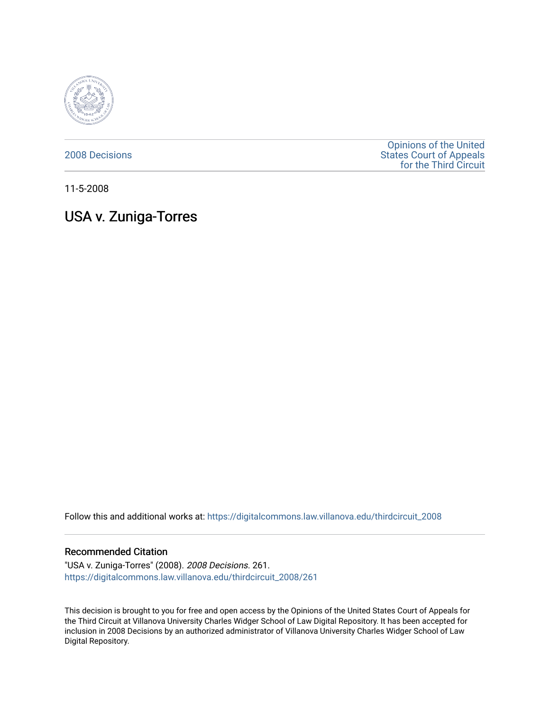

[2008 Decisions](https://digitalcommons.law.villanova.edu/thirdcircuit_2008)

[Opinions of the United](https://digitalcommons.law.villanova.edu/thirdcircuit)  [States Court of Appeals](https://digitalcommons.law.villanova.edu/thirdcircuit)  [for the Third Circuit](https://digitalcommons.law.villanova.edu/thirdcircuit) 

11-5-2008

# USA v. Zuniga-Torres

Follow this and additional works at: [https://digitalcommons.law.villanova.edu/thirdcircuit\\_2008](https://digitalcommons.law.villanova.edu/thirdcircuit_2008?utm_source=digitalcommons.law.villanova.edu%2Fthirdcircuit_2008%2F261&utm_medium=PDF&utm_campaign=PDFCoverPages) 

#### Recommended Citation

"USA v. Zuniga-Torres" (2008). 2008 Decisions. 261. [https://digitalcommons.law.villanova.edu/thirdcircuit\\_2008/261](https://digitalcommons.law.villanova.edu/thirdcircuit_2008/261?utm_source=digitalcommons.law.villanova.edu%2Fthirdcircuit_2008%2F261&utm_medium=PDF&utm_campaign=PDFCoverPages)

This decision is brought to you for free and open access by the Opinions of the United States Court of Appeals for the Third Circuit at Villanova University Charles Widger School of Law Digital Repository. It has been accepted for inclusion in 2008 Decisions by an authorized administrator of Villanova University Charles Widger School of Law Digital Repository.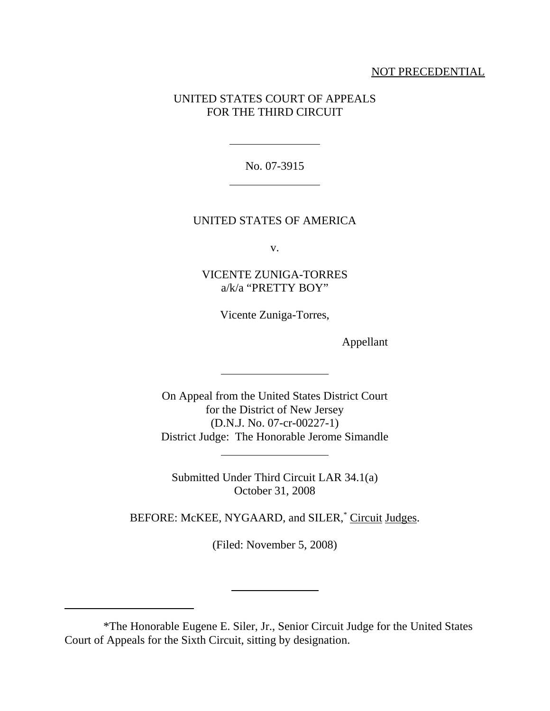## NOT PRECEDENTIAL

## UNITED STATES COURT OF APPEALS FOR THE THIRD CIRCUIT

No. 07-3915

l

 $\overline{\phantom{a}}$ 

l

l

 $\overline{a}$ 

### UNITED STATES OF AMERICA

v.

VICENTE ZUNIGA-TORRES a/k/a "PRETTY BOY"

Vicente Zuniga-Torres,

Appellant

On Appeal from the United States District Court for the District of New Jersey (D.N.J. No. 07-cr-00227-1) District Judge: The Honorable Jerome Simandle

Submitted Under Third Circuit LAR 34.1(a) October 31, 2008

BEFORE: McKEE, NYGAARD, and SILER,<sup>\*</sup> Circuit Judges.

(Filed: November 5, 2008)

<sup>\*</sup>The Honorable Eugene E. Siler, Jr., Senior Circuit Judge for the United States Court of Appeals for the Sixth Circuit, sitting by designation.